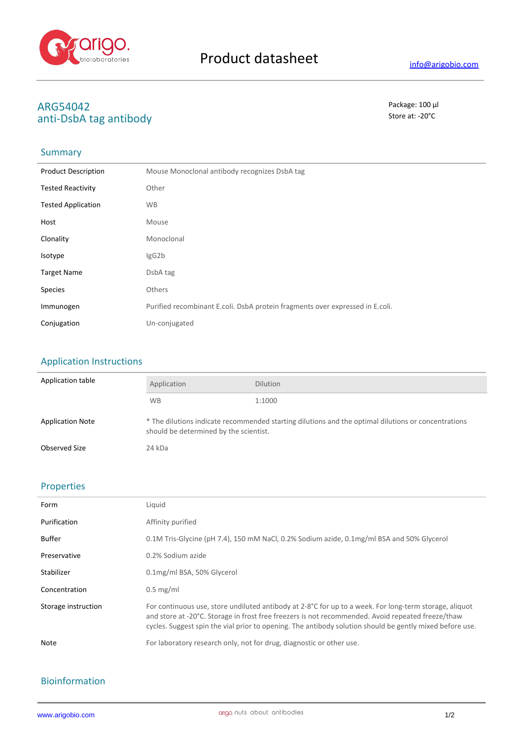

# **ARG54042** Package: 100 μl<br>
anti-DshΛ tag antibody anti-DsbA tag antibody

## Summary

| <b>Product Description</b> | Mouse Monoclonal antibody recognizes DsbA tag                                 |
|----------------------------|-------------------------------------------------------------------------------|
| <b>Tested Reactivity</b>   | Other                                                                         |
| <b>Tested Application</b>  | <b>WB</b>                                                                     |
| Host                       | Mouse                                                                         |
| Clonality                  | Monoclonal                                                                    |
| Isotype                    | IgG2b                                                                         |
| <b>Target Name</b>         | DsbA tag                                                                      |
| <b>Species</b>             | <b>Others</b>                                                                 |
| Immunogen                  | Purified recombinant E.coli. DsbA protein fragments over expressed in E.coli. |
| Conjugation                | Un-conjugated                                                                 |

## Application Instructions

| Application table       | Application                                                                                                                                   | <b>Dilution</b> |
|-------------------------|-----------------------------------------------------------------------------------------------------------------------------------------------|-----------------|
|                         | <b>WB</b>                                                                                                                                     | 1:1000          |
| <b>Application Note</b> | * The dilutions indicate recommended starting dilutions and the optimal dilutions or concentrations<br>should be determined by the scientist. |                 |
| Observed Size           | 24 kDa                                                                                                                                        |                 |

### Properties

| Form                | Liquid                                                                                                                                                                                                                                                                                                                  |
|---------------------|-------------------------------------------------------------------------------------------------------------------------------------------------------------------------------------------------------------------------------------------------------------------------------------------------------------------------|
| Purification        | Affinity purified                                                                                                                                                                                                                                                                                                       |
| Buffer              | 0.1M Tris-Glycine (pH 7.4), 150 mM NaCl, 0.2% Sodium azide, 0.1mg/ml BSA and 50% Glycerol                                                                                                                                                                                                                               |
| Preservative        | 0.2% Sodium azide                                                                                                                                                                                                                                                                                                       |
| Stabilizer          | 0.1mg/ml BSA, 50% Glycerol                                                                                                                                                                                                                                                                                              |
| Concentration       | $0.5$ mg/ml                                                                                                                                                                                                                                                                                                             |
| Storage instruction | For continuous use, store undiluted antibody at 2-8°C for up to a week. For long-term storage, aliquot<br>and store at -20°C. Storage in frost free freezers is not recommended. Avoid repeated freeze/thaw<br>cycles. Suggest spin the vial prior to opening. The antibody solution should be gently mixed before use. |
| <b>Note</b>         | For laboratory research only, not for drug, diagnostic or other use.                                                                                                                                                                                                                                                    |
|                     |                                                                                                                                                                                                                                                                                                                         |

## Bioinformation